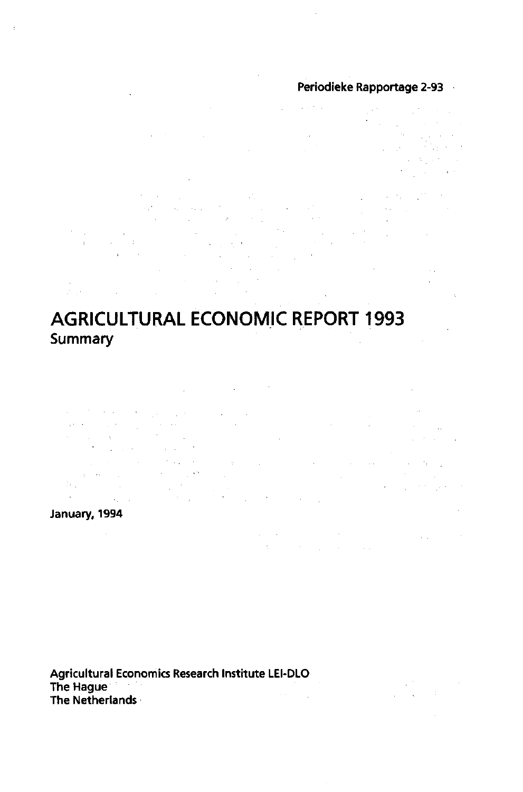### Periodieke Rapportage 2-93

 $\mathcal{L}^{\text{max}}_{\text{max}}$  and  $\mathcal{O}(\log n)$ an Si  $\mathcal{L}_{\rm eff}$  , and  $\mathcal{L}_{\rm eff}$  $\sim$   $\sim$ Service Parker  $\mathcal{L}_{\rm{max}}$  ,  $\mathcal{L}_{\rm{max}}$ standard and  $\label{eq:2.1} \mathcal{L}_{\mathcal{A}}\left(\mathcal{L}_{\mathcal{B}}\right)=\mathcal{L}_{\mathcal{B}}\left(\mathcal{L}_{\mathcal{B}}\right)=0.$  $\label{eq:2} \frac{1}{2}\left(\frac{1}{2}\right)^{2} \left(\frac{1}{2}\right)^{2} \left(\frac{1}{2}\right)^{2} \left(\frac{1}{2}\right)^{2} \left(\frac{1}{2}\right)^{2}$  $\begin{split} \mathcal{L}_{\text{max}} &= \mathcal{L}_{\text{max}} \left( \frac{1}{\sqrt{2}} \right) \mathcal{L}_{\text{max}} \\ \mathcal{L}_{\text{max}} &= \mathcal{L}_{\text{max}} \left( \frac{1}{\sqrt{2}} \right) \mathcal{L}_{\text{max}} \end{split}$ 

 $\mu$  is  $\lambda$  .

 $\frac{1}{2}$  ,  $\frac{1}{2}$ **Carl Committee**  $\sim$   $\sim$  $\sim 10^{-1}$  $\mathcal{A}^{\mathcal{A}}$  $\mathcal{A}^{\mathcal{A}}$ 

# **AGRICULTURAL ECONOMIC REPORT 1993 Summary**

 $\mathcal{L}_{\text{max}}$  and  $\mathcal{L}_{\text{max}}$  and  $\mathcal{L}_{\text{max}}$ 

 $\Delta\sigma$  , where  $\sigma$  is a property  $\sigma_{\rm{max}}=100$  $\mathcal{L}_{\text{max}}$  and  $\mathcal{L}_{\text{max}}$  and  $\mathcal{L}_{\text{max}}$  and  $\mathcal{L}_{\text{max}}$  $\label{eq:3.1} \begin{split} \mathcal{R}^{(1)}_{\text{max}}(x) &= \mathcal{R}^{(1)}_{\text{max}}(x) \,, \\ \mathcal{R}^{(2)}_{\text{max}}(x) &= \mathcal{R}^{(2)}_{\text{max}}(x) \,, \\ \mathcal{R}^{(1)}_{\text{max}}(x) &= \mathcal{R}^{(2)}_{\text{max}}(x) \,, \\ \mathcal{R}^{(2)}_{\text{max}}(x) &= \mathcal{R}^{(2)}_{\text{max}}(x) \,, \\ \mathcal{R}^{(2)}_{\text{max}}(x) &= \mathcal{R}^{(2)}_{\text{max}}(x$  $\mathcal{L}_{\text{max}}$  , where  $\mathcal{L}_{\text{max}}$  $\sim 0.4\, \mu$  mass  $^{-1}$  $\sim 10^{11}$  km s  $^{-1}$  km s  $^{-1}$  $\mathbf{r} = \mathbf{r} \mathbf{e}^{(1)}$  ,  $\mathbf{r} = \mathbf{r} \mathbf{e}^{(1)}$  $\mathcal{A}^{\mathcal{A}}$  .  $\begin{aligned} \frac{1}{\sqrt{2}}\frac{1}{\sqrt{2}}\frac{1}{\sqrt{2}}\frac{1}{\sqrt{2}}\frac{1}{\sqrt{2}}\frac{1}{\sqrt{2}}\frac{1}{\sqrt{2}}\frac{1}{\sqrt{2}}\frac{1}{\sqrt{2}}\frac{1}{\sqrt{2}}\frac{1}{\sqrt{2}}\frac{1}{\sqrt{2}}\frac{1}{\sqrt{2}}\frac{1}{\sqrt{2}}\frac{1}{\sqrt{2}}\frac{1}{\sqrt{2}}\frac{1}{\sqrt{2}}\frac{1}{\sqrt{2}}\frac{1}{\sqrt{2}}\frac{1}{\sqrt{2}}\frac{1}{\sqrt{2}}\frac{1}{$  $\frac{1}{\sqrt{2}}\sum_{i=1}^{n} \frac{1}{\sqrt{2}}\left(\frac{1}{\sqrt{2}}\right)^{i} \left(\frac{1}{\sqrt{2}}\right)^{i} \left(\frac{1}{\sqrt{2}}\right)^{i}$  $\sim$  $\mathcal{L}_{\text{max}}$  , where  $\mathcal{L}_{\text{max}}$  and  $\mathcal{L}_{\text{max}}$ 

> $\label{eq:2.1} \mathcal{L}_{\mathcal{A}}(\mathcal{A})=\mathcal{L}_{\mathcal{A}}(\mathcal{A})\otimes\mathcal{L}_{\mathcal{A}}(\mathcal{A})\otimes\mathcal{L}_{\mathcal{A}}(\mathcal{A})$  $\mathcal{O}(\mathfrak{m}^2)$  , where  $\mathcal{O}(\mathfrak{m}^2)$  ,  $\mathcal{O}(\mathfrak{m}^2)$  , and  $\mathcal{O}(\mathfrak{m}^2)$

> > $\label{eq:2.1} \frac{2\pi^2}{\sqrt{2\pi}\sqrt{2}}\frac{1}{\sqrt{2\pi}}\frac{1}{\sqrt{2\pi}}\frac{1}{\sqrt{2\pi}}\frac{1}{\sqrt{2\pi}}\,.$

### January, 1994

 $\sim$   $\sim$ 

Agricultural Economics Research Institute LEI-DLO The Hague The Netherlands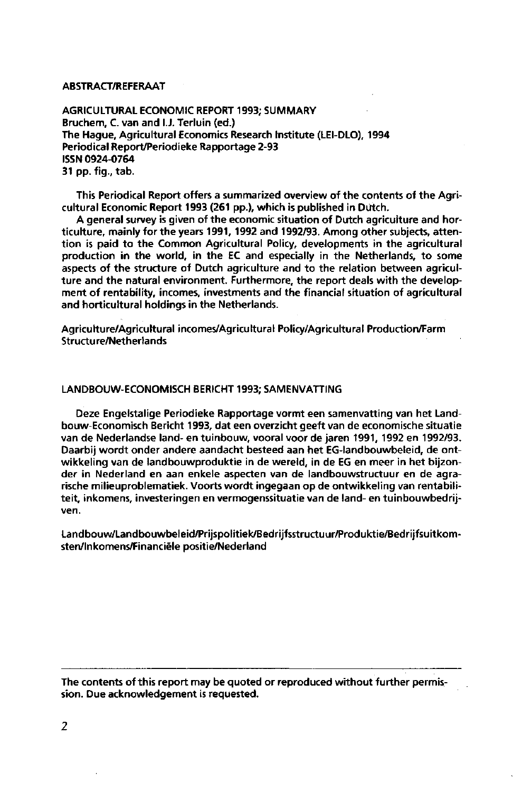#### ABSTRACT/REFERAAT

AGRICULTURAL ECONOMIC REPORT 1993; SUMMARY Bruchem, C. van and I.J. Terluin (ed.) The Hague, Agricultural Economics Research Institute (LEI-DLO), 1994 Periodical Report/Periodieke Rapportage 2-93 ISSN 0924-0764 31 pp. fig., tab.

This Periodical Report offers a summarized overview of the contents of the Agricultural Economic Report 1993 (261 pp.), which is published in Dutch.

A general survey is given of the economic situation of Dutch agriculture and horticulture, mainly for the years 1991, 1992 and 1992/93. Among other subjects, attention is paid to the Common Agricultural Policy, developments in the agricultural production in the world, in the EC and especially in the Netherlands, to some aspects of the structure of Dutch agriculture and to the relation between agriculture and the natural environment. Furthermore, the report deals with the development of rentability, incomes, investments and the financial situation of agricultural and horticultural holdings in the Netherlands.

Agriculture/Agricultural incomes/Agricultural Policy/Agricultural Production/Farm Structure/Netherlands

#### LANDBOUW-ECONOMISCH BERICHT 1993; SAMENVATTING

Deze Engelstalige Periodieke Rapportage vormt een samenvatting van het Landbouw-Economisch Bericht 1993, dat een overzicht geeft van de economische situatie van de Nederlandse land- en tuinbouw, vooral voor de jaren 1991, 1992 en 1992/93. Daarbij wordt onder andere aandacht besteed aan het EG-landbouwbeleid, de ontwikkeling van de landbouwproduktie in de wereld, in de EG en meer in het bijzonder in Nederland en aan enkele aspecten van de landbouwstructuur en de agrarische milieuproblematiek. Voorts wordt ingegaan op de ontwikkeling van rentabiliteit, inkomens, investeringen en vermogenssituatie van de land- en tuinbouwbedrijven.

Landbouw/Landbouwbeleid/Prijspolitiek/Bedrijfsstructuur/Produktie/Bedrijfsuitkomsten/Inkomens/Financiële positie/Nederland

The contents of this report may be quoted or reproduced without further permission. Due acknowledgement is requested.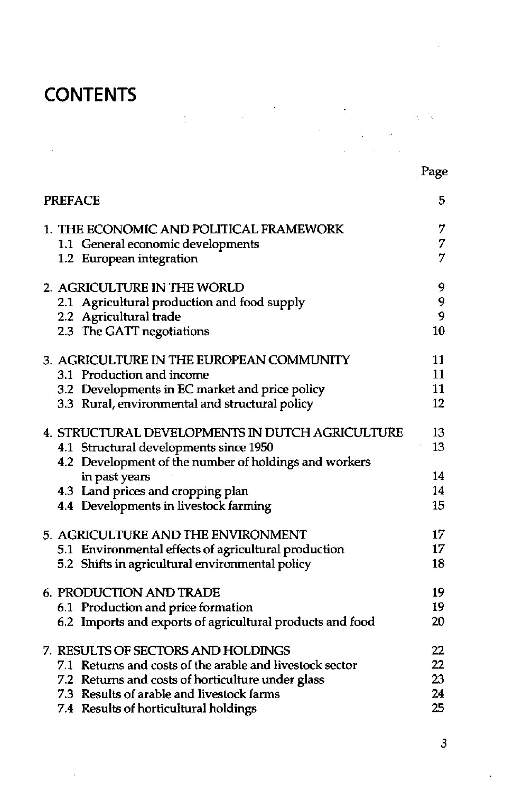# **CONTENTS**

Page

 $\mathcal{L}_{\rm{max}}$ 

| <b>PREFACE</b>                                            | 5  |
|-----------------------------------------------------------|----|
| 1. THE ECONOMIC AND POLITICAL FRAMEWORK                   | 7  |
| 1.1 General economic developments                         | 7  |
| 1.2 European integration                                  | 7  |
| 2. AGRICULTURE IN THE WORLD                               | 9  |
| 2.1 Agricultural production and food supply               | 9  |
| 2.2 Agricultural trade                                    | 9  |
| 2.3 The GATT negotiations                                 | 10 |
| 3. AGRICULTURE IN THE EUROPEAN COMMUNITY                  | 11 |
| 3.1 Production and income                                 | 11 |
| 3.2 Developments in EC market and price policy            | 11 |
| 3.3 Rural, environmental and structural policy            | 12 |
| 4. STRUCTURAL DEVELOPMENTS IN DUTCH AGRICULTURE           | 13 |
| 4.1 Structural developments since 1950                    | 13 |
| 4.2 Development of the number of holdings and workers     |    |
| in past years                                             | 14 |
| 4.3 Land prices and cropping plan                         | 14 |
| 4.4 Developments in livestock farming                     | 15 |
| 5. AGRICULTURE AND THE ENVIRONMENT                        | 17 |
| 5.1 Environmental effects of agricultural production      | 17 |
| 5.2 Shifts in agricultural environmental policy           | 18 |
| <b>6. PRODUCTION AND TRADE</b>                            | 19 |
| 6.1 Production and price formation                        | 19 |
| 6.2 Imports and exports of agricultural products and food | 20 |
| 7. RESULTS OF SECTORS AND HOLDINGS                        | 22 |
| 7.1 Returns and costs of the arable and livestock sector  | 22 |
| 7.2 Returns and costs of horticulture under glass         | 23 |
| 7.3 Results of arable and livestock farms                 | 24 |
| 7.4 Results of horticultural holdings                     | 25 |

 $\label{eq:2.1} \frac{1}{2} \int_{\mathbb{R}^3} \left| \frac{1}{\sqrt{2\pi}} \frac{1}{\sqrt{2\pi}} \frac{1}{\sqrt{2\pi}} \frac{1}{\sqrt{2\pi}} \frac{1}{\sqrt{2\pi}} \frac{1}{\sqrt{2\pi}} \frac{1}{\sqrt{2\pi}} \frac{1}{\sqrt{2\pi}} \frac{1}{\sqrt{2\pi}} \frac{1}{\sqrt{2\pi}} \frac{1}{\sqrt{2\pi}} \frac{1}{\sqrt{2\pi}} \frac{1}{\sqrt{2\pi}} \frac{1}{\sqrt{2\pi}} \frac{1}{\sqrt{2\pi}} \frac{1}{\sqrt{2$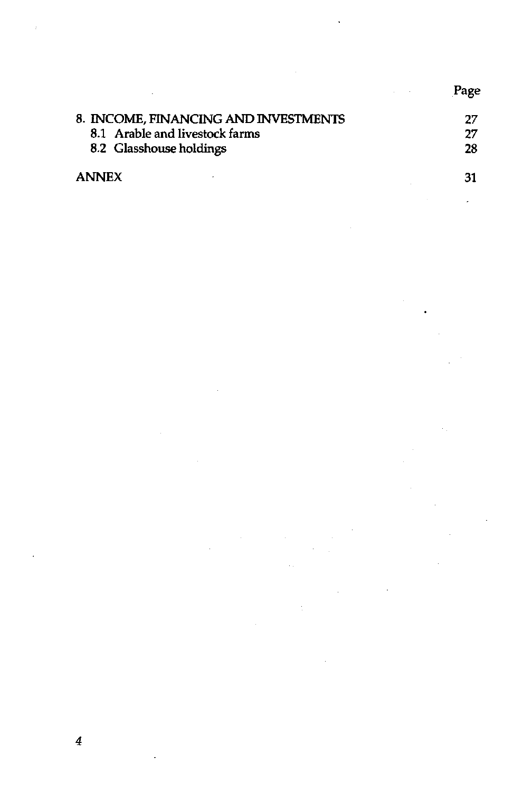|                                      | Page |
|--------------------------------------|------|
| 8. INCOME, FINANCING AND INVESTMENTS | 27   |
| 8.1 Arable and livestock farms       | 27   |
| 8.2 Glasshouse holdings              | 28   |
| <b>ANNEX</b>                         | 31   |

 $\label{eq:2.1} \frac{1}{\sqrt{2}}\int_{\mathbb{R}^3}\frac{1}{\sqrt{2}}\left(\frac{1}{\sqrt{2}}\right)^2\frac{1}{\sqrt{2}}\left(\frac{1}{\sqrt{2}}\right)^2\frac{1}{\sqrt{2}}\left(\frac{1}{\sqrt{2}}\right)^2\frac{1}{\sqrt{2}}\left(\frac{1}{\sqrt{2}}\right)^2.$ 

 $\sim 100$ 

 $\mathcal{L}^{\text{max}}_{\text{max}}$  and  $\mathcal{L}^{\text{max}}_{\text{max}}$  and  $\mathcal{L}^{\text{max}}_{\text{max}}$ 

 $\mathcal{L}^{\text{max}}_{\text{max}}$  and  $\mathcal{L}^{\text{max}}_{\text{max}}$ 

 $\frac{1}{\sqrt{2}}$ 

 $\mathcal{L}(\mathbf{r},\mathbf{r})$ 

 $\mathcal{L}^{\text{max}}_{\text{max}}$ 

 $\mathcal{L}_{\text{max}}$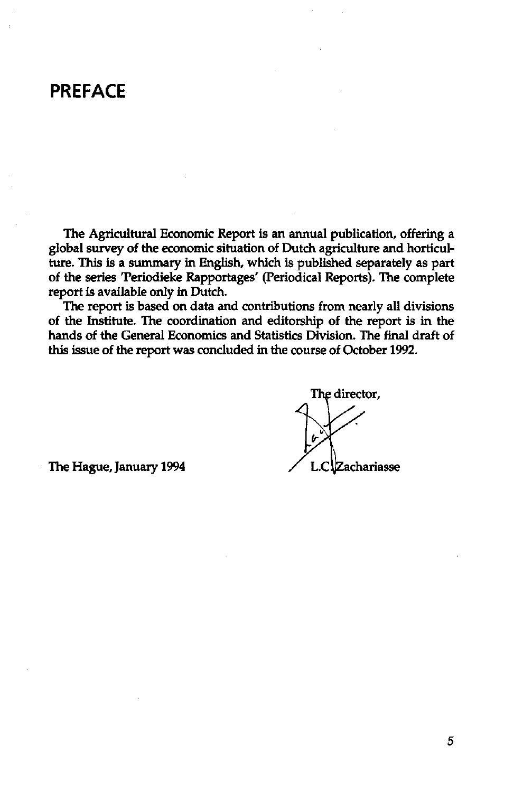### **PREFACE**

The Agricultural Economic Report is an annual publication, offering a global survey of the economic situation of Dutch agriculture and horticulture. This is a summary in English, which is published separately as part of the series 'Periodieke Rapportages' (Periodical Reports). The complete report is available only in Dutch.

The report is based on data and contributions from nearly all divisions of the Institute. The coordination and editorship of the report is in the hands of the General Economics and Statistics Division. The final draft of this issue of the report was concluded in the course of October 1992.

The director.

The Hague, January 1994  $\angle$  L.C. Zachariasse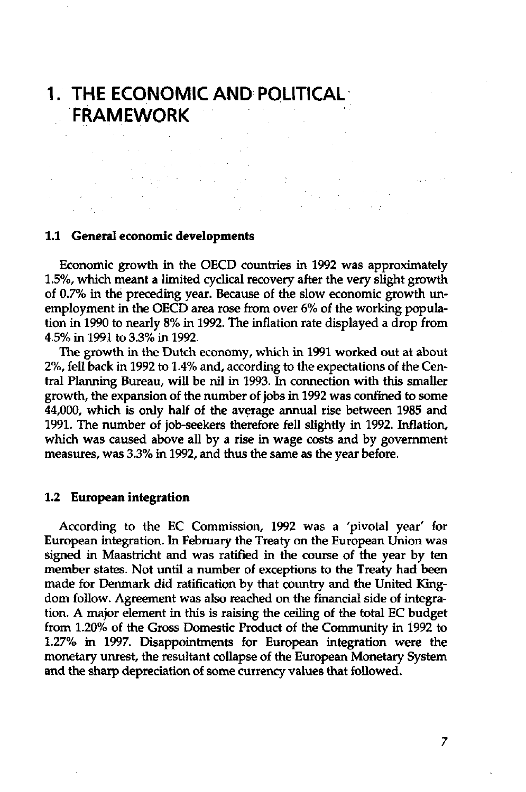### **1. THE ECONOMIC AND POLITICAL FRAMEWORK**

 $\hat{\mathcal{L}}_{\text{max}}$  and  $\hat{\mathcal{L}}_{\text{max}}$  and  $\hat{\mathcal{L}}_{\text{max}}$ 

#### **1.1 General economic developments**

Economic growth in the OECD countries in 1992 was approximately 1.5%, which meant a limited cyclical recovery after the very slight growth of 0.7% in the preceding year. Because of the slow economic growth unemployment in the OECD area rose from over 6% of the working population in 1990 to nearly 8% in 1992. The inflation rate displayed a drop from 4.5% in 1991 to 3.3% in 1992.

The growth in the Dutch economy, which in 1991 worked out at about 2%, fell back in 1992 to 1.4% and, according to the expectations of the Central Planning Bureau, will be nil in 1993. In connection with this smaller growth, the expansion of the number of jobs in 1992 was confined to some 44,000, which is only half of the average annual rise between 1985 and 1991. The number of job-seekers therefore fell slightly in 1992. Inflation, which was caused above all by a rise in wage costs and by government measures, was 3.3% in 1992, and thus the same as the year before.

#### **1.2 European integration**

According to the EC Commission, 1992 was a 'pivotal year' for European integration. In February the Treaty on the European Union was signed in Maastricht and was ratified in the course of the year by ten member states. Not until a number of exceptions to the Treaty had been made for Denmark did ratification by that country and the United Kingdom follow. Agreement was also reached on the financial side of integration. A major element in this is raising the ceiling of the total EC budget from 1.20% of the Gross Domestic Product of the Community in 1992 to 1.27% in 1997. Disappointments for European integration were the monetary unrest, the resultant collapse of the European Monetary System and the sharp depreciation of some currency values that followed.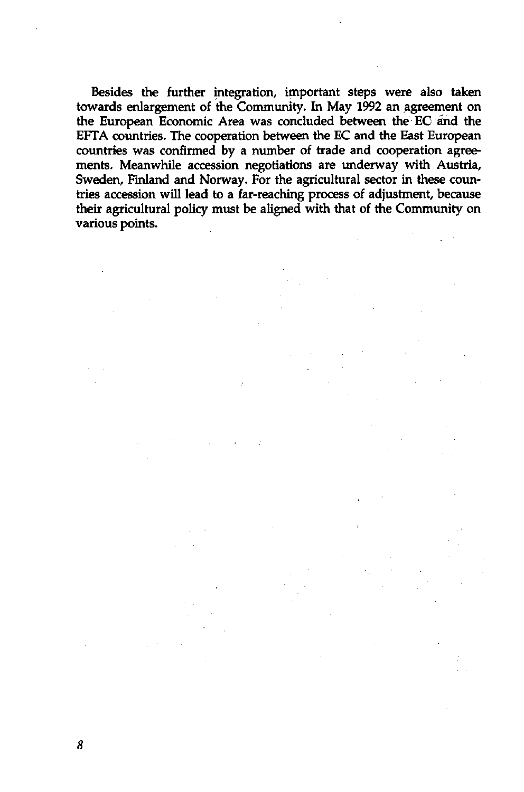Besides the further integration, important steps were also taken towards enlargement of the Community. In May 1992 an agreement on the European Economic Area was concluded between the EC and the EFTA countries. The cooperation between the EC and the East European countries was confirmed by a number of trade and cooperation agreements. Meanwhile accession negotiations are underway with Austria, Sweden, Finland and Norway. For the agricultural sector in these countries accession will lead to a far-reaching process of adjustment, because their agricultural policy must be aligned with that of the Community on various points.

8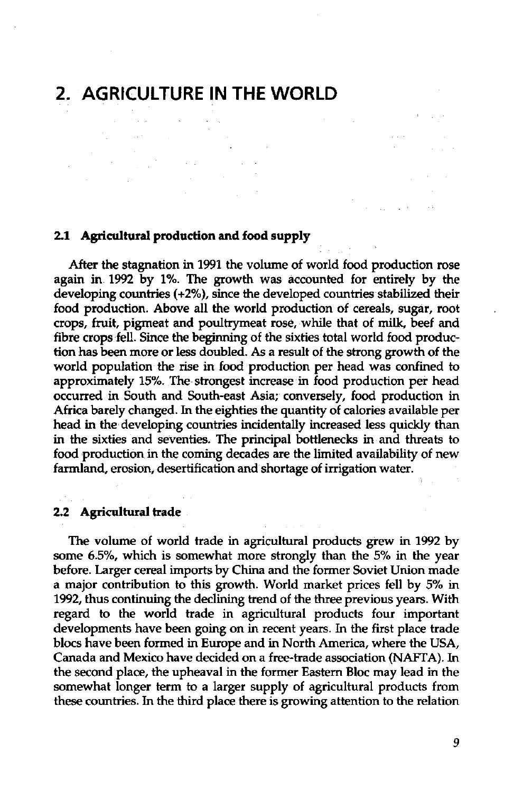# **2. AGRICULTURE IN THE WORLD**

 $\sim 10^{-10}$ 

#### **2.1 Agricultural production and food supply**

After the stagnation in 1991 the volume of world food production rose again in 1992 by 1%. The growth was accounted for entirely by the developing countries (+2%), since the developed countries stabilized their food production. Above all the world production of cereals, sugar, root crops, fruit, pigmeat and poultrymeat rose, while that of milk, beef and fibre crops fell. Since the beginning of the sixties total world food production has been more or less doubled. As a result of the strong growth of the world population the rise in food production per head was confined to approximately 15%. The strongest increase in food production per head occurred in South and South-east Asia; conversely, food production in Africa barely changed. In the eighties the quantity of calories available per head in the developing countries incidentally increased less quickly than in the sixties and seventies. The principal bottlenecks in and threats to food production in the coming decades are the limited availability of new farmland, erosion, desertification and shortage of irrigation water.

 $\mathcal{L}^{\text{max}}_{\text{max}}$  and  $\mathcal{L}^{\text{max}}_{\text{max}}$ 

 $\label{eq:1} \begin{split} \mathcal{F}^{(1)}_{\text{max}}(t) & = \mathcal{F}^{(1)}_{\text{max}}(t) \,, \end{split}$ 

#### **2.2 Agricultural trade**

The volume of world trade in agricultural products grew in 1992 by some 6.5%, which is somewhat more strongly than the 5% in the year before. Larger cereal imports by China and the former Soviet Union made a major contribution to this growth. World market prices fell by 5% in 1992, thus continuing the declining trend of the three previous years. With regard to the world trade in agricultural products four important developments have been going on in recent years. In the first place trade blocs have been formed in Europe and in North America, where the USA, Canada and Mexico have decided on a free-trade association (NAFTA). In the second place, the upheaval in the former Eastern Bloc may lead in the somewhat longer term to a larger supply of agricultural products from these countries. In the third place there is growing attention to the relation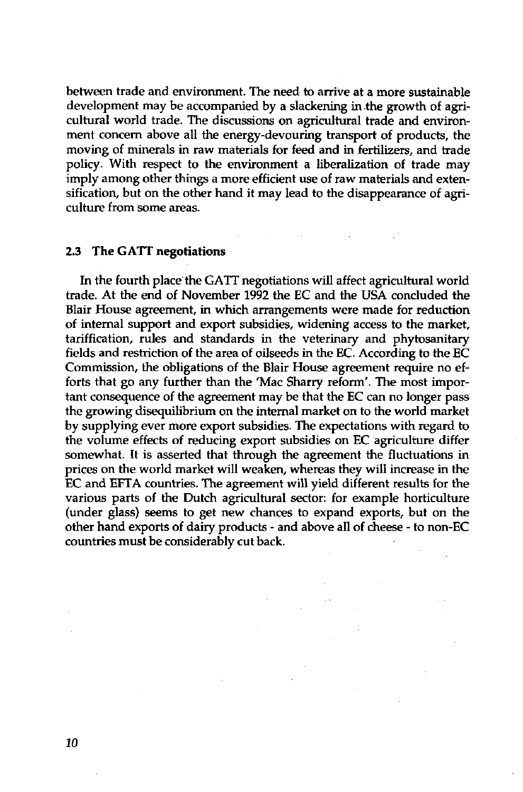between trade and environment. The need to arrive at a more sustainable development may be accompanied by a slackening in the growth of agricultural world trade. The discussions on agricultural trade and environment concern above all the energy-devouring transport of products, the moving of minerals in raw materials for feed and in fertilizers, and trade policy. With respect to the environment a liberalization of trade may imply among other things a more efficient use of raw materials and extensification, but on the other hand it may lead to the disappearance of agriculture from some areas.

#### **2.3 The GATT negotiations**

In the fourth place the GATT negotiations will affect agricultural world trade. At the end of November 1992 the EG and the USA concluded the Blair House agreement, in which arrangements were made for reduction of internal support and export subsidies, widening access to the market, tariffication, rules and standards in the veterinary and phytosanitary fields and restriction of the area of oilseeds in the EC. According to the EC Commission, the obligations of the Blair House agreement require no efforts that go any further than the 'Mac Sharry reform'. The most important consequence of the agreement may be that the EC can no longer pass the growing disequilibrium on the internal market on to the world market by supplying ever more export subsidies. The expectations with regard to the volume effects of reducing export subsidies on EC agriculture differ somewhat. It is asserted that through the agreement the fluctuations in prices on the world market will weaken, whereas they will increase in the EC and EFTA countries. The agreement will yield different results for the various parts of the Dutch agricultural sector: for example horticulture (under glass) seems to get new chances to expand exports, but on the other hand exports of dairy products - and above all of cheese - to non-EC countries must be considerably cut back.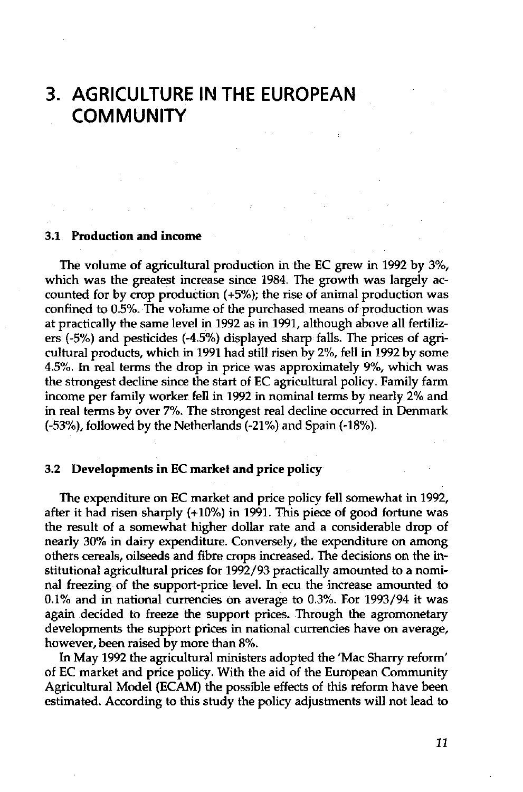### **3. AGRICULTURE IN THE EUROPEAN COMMUNITY**

#### **3.1 Production and income**

The volume of agricultural production in the EC grew in 1992 by 3%, which was the greatest increase since 1984. The growth was largely accounted for by crop production (+5%); the rise of animal production was confined to 0.5%. The volume of the purchased means of production was at practically the same level in 1992 as in 1991, although above all fertilizers (-5%) and pesticides (-4.5%) displayed sharp falls. The prices of agricultural products, which in 1991 had still risen by 2%, fell in 1992 by some 4.5%. In real terms the drop in price was approximately 9%, which was the strongest decline since the start of EC agricultural policy. Family farm income per family worker fell in 1992 in nominal terms by nearly 2% and in real terms by over 7%. The strongest real decline occurred in Denmark (-53%), followed by the Netherlands (-21%) and Spain (-18%).

#### **3.2 Developments in EC market and price policy**

The expenditure on EC market and price policy fell somewhat in 1992, after it had risen sharply (+10%) in 1991. This piece of good fortune was the result of a somewhat higher dollar rate and a considerable drop of nearly 30% in dairy expenditure. Conversely, the expenditure on among others cereals, oilseeds and fibre crops increased. The decisions on the institutional agricultural prices for 1992/93 practically amounted to a nominal freezing of the support-price level. In ecu the increase amounted to 0.1% and in national currencies on average to 0.3%. For 1993/94 it was again decided to freeze the support prices. Through the agromonetary developments the support prices in national currencies have on average, however, been raised by more than 8%.

In May 1992 the agricultural ministers adopted the 'Mac Sharry reform' of EC market and price policy. With the aid of the European Community Agricultural Model (ECAM) the possible effects of this reform have been estimated. According to this study the policy adjustments will not lead to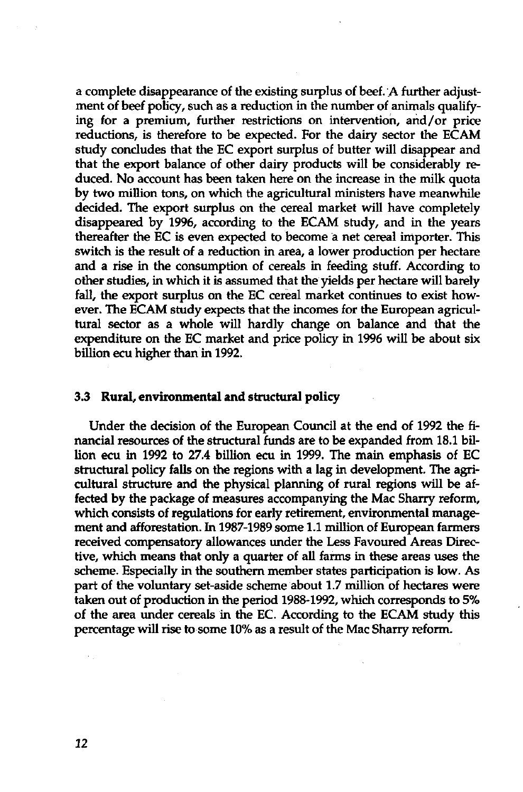a complete disappearance of the existing surplus of beef. A further adjustment of beef policy, such as a reduction in the number of animals qualifying for a premium, further restrictions on intervention, and/or price reductions, is therefore to be expected. For the dairy sector the ECAM study concludes that the EC export surplus of butter will disappear and that the export balance of other dairy products will be considerably reduced. No account has been taken here on the increase in the milk quota by two million tons, on which the agricultural ministers have meanwhile decided. The export surplus on the cereal market will have completely disappeared by 1996, according to the ECAM study, and in the years thereafter the EC is even expected to become a net cereal importer. This switch is the result of a reduction in area, a lower production per hectare and a rise in the consumption of cereals in feeding stuff. According to other studies, in which it is assumed that the yields per hectare will barely fall, the export surplus on the EC cereal market continues to exist however. The ECAM study expects that the incomes for the European agricultural sector as a whole will hardly change on balance and that the expenditure on the EC market and price policy in 1996 will be about six billion ecu higher than in 1992.

#### 3.3 **Rural, environmental and structural policy**

Under the decision of the European Council at the end of 1992 the financial resources of the structural funds are to be expanded from 18.1 billion ecu in 1992 to 27.4 billion ecu in 1999. The main emphasis of EC structural policy falls on the regions with a lag in development. The agricultural structure and the physical planning of rural regions will be affected by the package of measures accompanying the Mac Sharry reform, which consists of regulations for early retirement, environmental management and afforestation. In 1987-1989 some 1.1 million of European farmers received compensatory allowances under the Less Favoured Areas Directive, which means that only a quarter of all farms in these areas uses the scheme. Especially in the southern member states participation is low. As part of the voluntary set-aside scheme about 1.7 million of hectares were taken out of production in the period 1988-1992, which corresponds to 5% of the area under cereals in the EC. According to the ECAM study this percentage will rise to some 10% as a result of the Mac Sharry reform.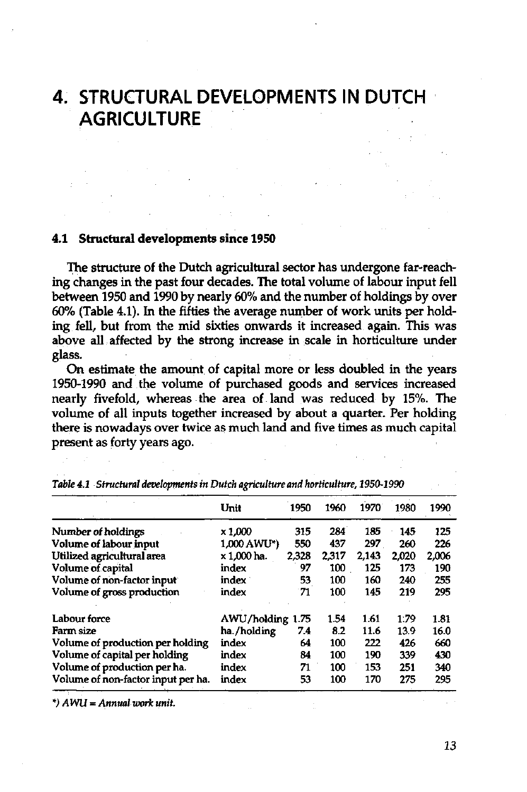# **4. STRUCTURAL DEVELOPMENTS IN DUTCH AGRICULTURE**

#### **4.1 Structural developments since 1950**

The structure of the Dutch agricultural sector has undergone far-reaching changes in the past four decades. The total volume of labour input fell between 1950 and 1990 by nearly 60% and the number of holdings by over 60% (Table 4.1). In the fifties the average number of work units per holding fell, but from the mid sixties onwards it increased again. This was above all affected by the strong increase in scale in horticulture under glass.

On estimate the amount of capital more or less doubled in the years 1950-1990 and the volume of purchased goods and services increased nearly fivefold, whereas the area of land was reduced by 15%. The volume of all inputs together increased by about a quarter. Per holding there is nowadays over twice as much land and five times as much capital present as forty years ago.

|                                    | Unit        | 1950  | 1960  | 1970  | 1980  | 1990  |
|------------------------------------|-------------|-------|-------|-------|-------|-------|
| Number of holdings                 | x 1,000     | 315   | 284   | 185   | 145   | 125   |
| Volume of labour input             | 1,000 AWU*) | 550   | 437   | 297   | 260   | 226   |
| Utilized agricultural area         | x 1.000 ha. | 2,328 | 2.317 | 2.143 | 2.020 | 2.006 |
| <b>Volume of capital</b>           | index       | 97    | 100   | 125   | 173   | 190   |
| Volume of non-factor input         | index       | 53    | 100   | 160   | 240   | 255   |
| Volume of gross production         | index       | 71    | 100   | 145   | 219   | 295   |
| Labour force                       | AWU/holding | 1.75  | 1.54  | 1.61  | 1.79  | 1.81  |
| Farm size                          | ha./holding | 7.4   | 8.2   | 11.6  | 13.9  | 16.0  |
| Volume of production per holding   | index       | 64    | 100   | 222   | 426   | 660   |
| Volume of capital per holding      | index       | 84    | 100   | 190   | 339   | 430   |
| Volume of production per ha.       | index       | 71    | 100   | 153   | 251   | 340   |
| Volume of non-factor input per ha. | index       | 53    | 100   | 170   | 275   | 295   |

*Table 4.1 Structural developments in Dutch agriculture and horticulture, 1950-1990* 

*\*) AWU* = *Annualwork unit.*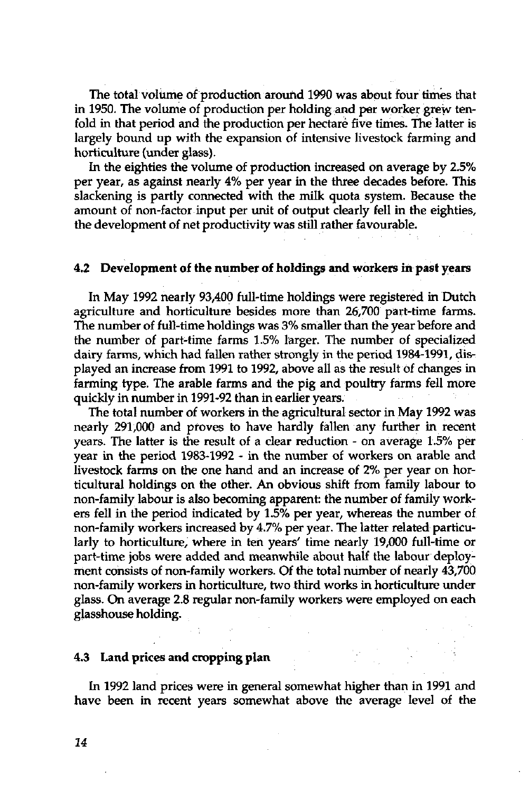The total volume of production around 1990 was about four times that in 1950. The volume of production per holding and per worker grew tenfold in that period and the production per hectare five times. The latter is largely bound up with the expansion of intensive livestock farming and horticulture (under glass).

In the eighties the volume of production increased on average by 2.5% per year, as against nearly 4% per year in the three decades before. This slackening is partly connected with the milk quota system. Because the amount of non-factor input per unit of output clearly fell in the eighties, the development of net productivity was still rather favourable.

### **4,2 Development of the number of holdings and workers in past years**

In May 1992 nearly 93,400 full-time holdings were registered in Dutch agriculture and horticulture besides more than 26,700 part-time farms. The number of full-time holdings was 3% smaller than the year before and the number of part-time farms 1.5% larger. The number of specialized dairy farms, which had fallen rather strongly in the period 1984-1991, displayed an increase from 1991 to 1992, above all as the result of changes in farming type. The arable farms and the pig and poultry farms fell more quickly in number in 1991-92 than in earlier years.

The total number of workers in the agricultural sector in May 1992 was nearly 291,000 and proves to have hardly fallen any further in recent years. The latter is the result of a clear reduction - on average 1.5% per year in the period 1983-1992 - in the number of workers on arable and livestock farms on the one hand and an increase of 2% per year on horticultural holdings on the other. An obvious shift from family labour to non-family labour is also becoming apparent: the number of family workers fell in the period indicated by 1.5% per year, whereas the number of non-family workers increased by 4.7% per year. The latter related particularly to horticulture, where in ten years' time nearly 19,000 full-time or part-time jobs were added and meanwhile about half the labour deployment consists of non-family workers. Of the total number of nearly 43,700 non-family workers in horticulture, two third works in horticulture under glass. On average 2.8 regular non-family workers were employed on each glasshouse holding.

#### **4.3 Land prices and cropping plan**

In 1992 land prices were in general somewhat higher than in 1991 and have been in recent years somewhat above the average level of the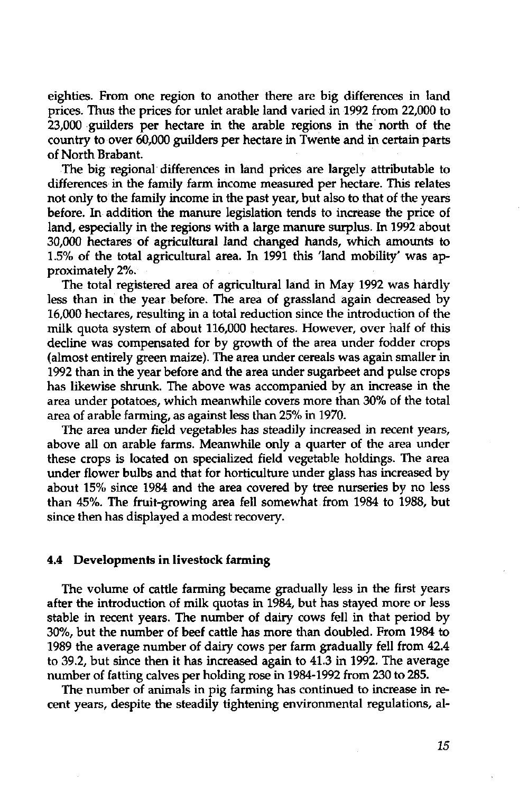eighties. From one region to another there are big differences in land prices. Thus the prices for unlet arable land varied in 1992 from 22,000 to 23,000 guilders per hectare in the arable regions in the north of the country to over 60,000 guilders per hectare in Twente and in certain parts of North Brabant.

The big regional differences in land prices are largely attributable to differences in the family farm income measured per hectare. This relates not only to the family income in the past year, but also to that of the years before. In addition the manure legislation tends to increase the price of land, especially in the regions with a large manure surplus. In 1992 about 30,000 hectares of agricultural land changed hands, which amounts to 1.5% of the total agricultural area. In 1991 this 'land mobility' was approximately 2%.

The total registered area of agricultural land in May 1992 was hardly less than in the year before. The area of grassland again decreased by 16,000 hectares, resulting in a total reduction since the introduction of the milk quota system of about 116,000 hectares. However, over half of this decline was compensated for by growth of the area under fodder crops (almost entirely green maize). The area under cereals was again smaller in 1992 than in the year before and the area under sugarbeet and pulse crops has likewise shrunk. The above was accompanied by an increase in the area under potatoes, which meanwhile covers more than 30% of the total area of arable farming, as against less than 25% in 1970.

The area under field vegetables has steadily increased in recent years, above all on arable farms. Meanwhile only a quarter of the area under these crops is located on specialized field vegetable holdings. The area under flower bulbs and that for horticulture under glass has increased by about 15% since 1984 and the area covered by tree nurseries by no less than 45%. The fruit-growing area fell somewhat from 1984 to 1988, but since then has displayed a modest recovery.

#### **4.4 Developments in livestock farming**

The volume of cattle farming became gradually less in the first years after the introduction of milk quotas in 1984, but has stayed more or less stable in recent years. The number of dairy cows fell in that period by 30%, but the number of beef cattle has more than doubled. From 1984 to 1989 the average number of dairy cows per farm gradually fell from 42.4 to 39.2, but since then it has increased again to 41.3 in 1992. The average number of fatting calves per holding rose in 1984-1992 from 230 to 285.

The number of animals in pig farming has continued to increase in recent years, despite the steadily tightening environmental regulations, al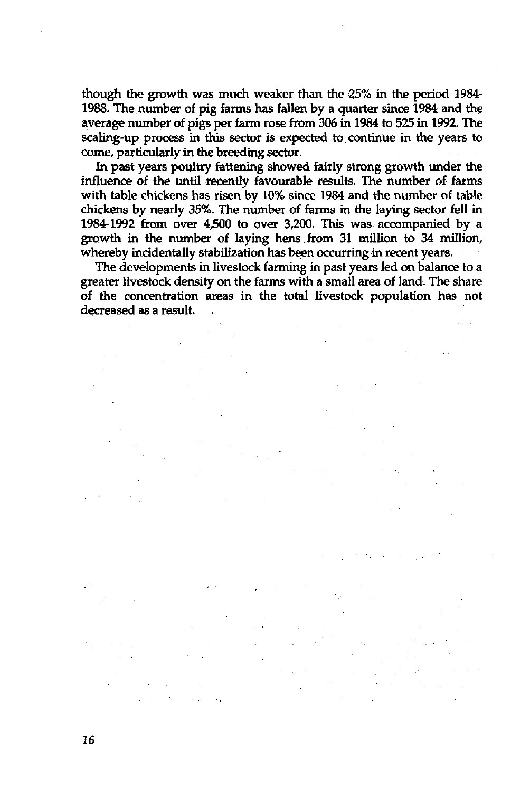though the growth was much weaker than the 25% in the period 1984- 1988. The number of pig farms has fallen by a quarter since 1984 and the average number of pigs per farm rose from 306 in 1984 to 525 in 1992. The scaling-up process in this sector is expected to continue in the years to come, particularly in the breeding sector.

In past years poultry fattening showed fairly strong growth under the influence of the until recently favourable results. The number of farms with table chickens has risen by 10% since 1984 and the number of table chickens by nearly 35%. The number of farms in the laying sector fell in 1984-1992 from over 4,500 to over 3,200. This was accompanied by a growth in the number of laying hens.from 31 million to 34 million, whereby incidentally stabilization has been occurring in recent years.

The developments in livestock farming in past years led on balance to a greater livestock density on the farms with a small area of land. The share of the concentration areas in the total livestock population has not decreased as a result.  $\mathbb{Z}_2$ ψŪ,

 $\Delta \sim 100$ 

بالها

فيتقرآ والمتقاطع والمرادي

 $\frac{1}{2} \left( \frac{1}{2} \frac{d^2}{dx^2} + \frac{d^2}{dx^2} \right)$  ,  $\frac{d^2}{dx^2}$  $\mathcal{A}=\{x_1,\ldots,x_n\}$  , where  $\mathcal{A}=\{x_1,\ldots,x_n\}$  ,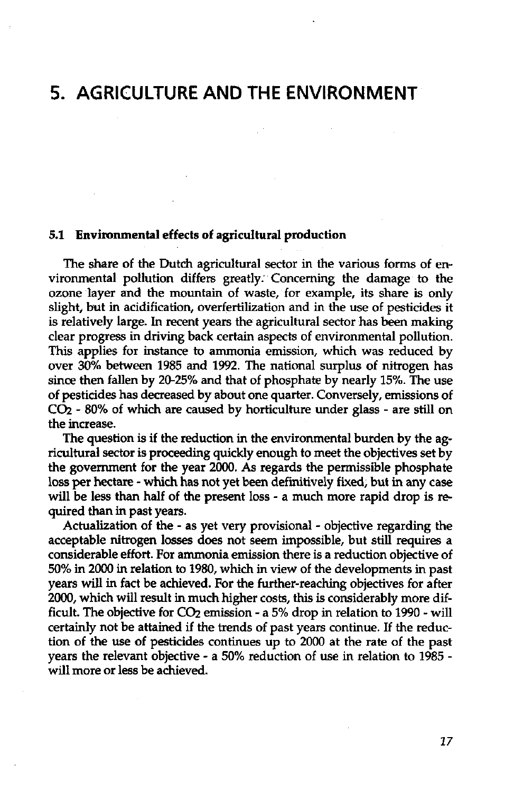### **5. AGRICULTURE AND THE ENVIRONMENT**

#### **5.1 Environmental effects of agricultural production**

The share of the Dutch agricultural sector in the various forms of environmental pollution differs greatly. Concerning the damage to the ozone layer and the mountain of waste, for example, its share is only slight, but in acidification, overfertilization and in the use of pesticides it is relatively large. In recent years the agricultural sector has been making clear progress in driving back certain aspects of environmental pollution. This applies for instance to ammonia emission, which was reduced by over 30% between 1985 and 1992. The national surplus of nitrogen has since then fallen by 20-25% and that of phosphate by nearly 15%. The use of pesticides has decreased by about one quarter. Conversely, emissions of  $CO<sub>2</sub>$  - 80% of which are caused by horticulture under glass - are still on the increase.

The question is if the reduction in the environmental burden by the agricultural sector is proceeding quickly enough to meet the objectives set by the government for the year 2000. As regards the permissible phosphate loss per hectare - which has not yet been definitively fixed, but in any case will be less than half of the present loss - a much more rapid drop is required than in past years.

Actualization of the - as yet very provisional - objective regarding the acceptable nitrogen losses does not seem impossible, but still requires a considerable effort. For ammonia emission there is a reduction objective of 50% in 2000 in relation to 1980, which in view of the developments in past years will in fact be achieved. For the further-reaching objectives for after 2000, which will result in much higher costs, this is considerably more difficult. The objective for  $CO<sub>2</sub>$  emission - a 5% drop in relation to 1990 - will certainly not be attained if the trends of past years continue. If the reduction of the use of pesticides continues up to 2000 at the rate of the past years the relevant objective - a 50% reduction of use in relation to 1985 will more or less be achieved.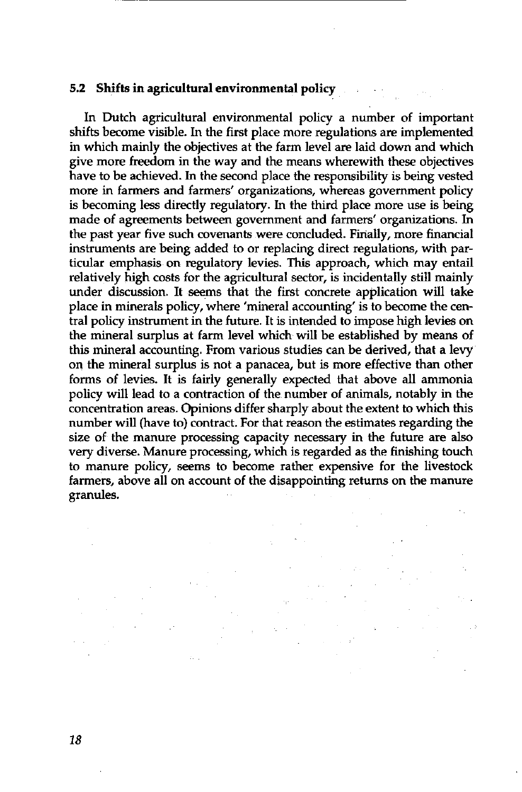### **5.2 Shifts in agricultural environmental policy**

In Dutch agricultural environmental policy a number of important shifts become visible. In the first place more regulations are implemented in which mainly the objectives at the farm level are laid down and which give more freedom in the way and the means wherewith these objectives have to be achieved. In the second place the responsibility is being vested more in farmers and farmers' organizations, whereas government policy is becoming less directly regulatory. In the third place more use is being made of agreements between government and farmers' organizations. In the past year five such covenants were concluded. Finally, more financial instruments are being added to or replacing direct regulations, with particular emphasis on regulatory levies. This approach, which may entail relatively high costs for the agricultural sector, is incidentally still mainly under discussion. It seems that the first concrete application will take place in minerals policy, where 'mineral accounting' is to become the central policy instrument in the future. It is intended to impose high levies on the mineral surplus at farm level which will be established by means of this mineral accounting. From various studies can be derived, that a levy on the mineral surplus is not a panacea, but is more effective than other forms of levies. It is fairly generally expected that above all ammonia policy will lead to a contraction of the number of animals, notably in the concentration areas. Opinions differ sharply about the extent to which this number will (have to) contract. For that reason the estimates regarding the size of the manure processing capacity necessary in the future are also very diverse. Manure processing, which is regarded as the finishing touch to manure policy, seems to become rather expensive for the livestock farmers, above all on account of the disappointing returns on the manure granules.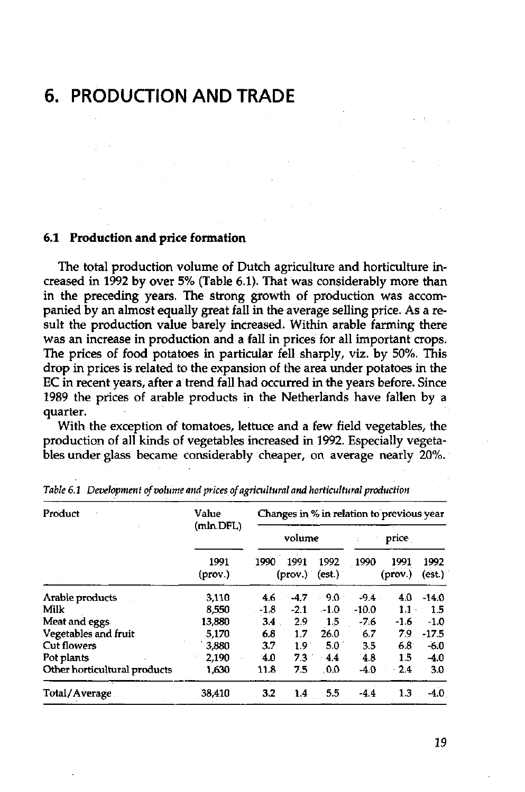# **6. PRODUCTION AND TRADE**

#### **6.1 Production and price formation**

The total production volume of Dutch agriculture and horticulture increased in 1992 by over 5% (Table 6.1). That was considerably more than in the preceding years. The strong growth of production was accompanied by an almost equally great fall in the average selling price. As a result the production value barely increased. Within arable farming there was an increase in production and a fall in prices for all important crops. The prices of food potatoes in particular fell sharply, viz. by 50%. This drop in prices is related to the expansion of the area under potatoes in the EC in recent years, after a trend fall had occurred in the years before. Since 1989 the prices of arable products in the Netherlands have fallen by a quarter.

With the exception of tomatoes, lettuce and a few field vegetables, the production of all kinds of vegetables increased in 1992. Especially vegetables under glass became considerably cheaper, on average nearly 20%.

| Product                      | Value           | Changes in % in relation to previous year |                 |                |         |                 |                |  |  |
|------------------------------|-----------------|-------------------------------------------|-----------------|----------------|---------|-----------------|----------------|--|--|
|                              | (mln.DFL)       | volume                                    |                 |                |         | price           |                |  |  |
|                              | 1991<br>(prov.) | 1990                                      | 1991<br>(prov.) | 1992<br>(est.) | 1990    | 1991<br>(prov.) | 1992<br>(est.) |  |  |
| Arable products              | 3,110           | 4.6                                       | $-4.7$          | 9.0            | $-9.4$  | 4.0             | $-14.0$        |  |  |
| Milk                         | 8,550           | $-1.8$                                    | $-2.1$          | $-1.0$         | $-10.0$ | 1.1             | 1.5            |  |  |
| Meat and eggs                | 13,880          | 3.4                                       | 2.9             | 1.5            | $-7.6$  | $-1.6$          | $-1.0$         |  |  |
| Vegetables and fruit         | 5,170           | 6.8                                       | 1.7             | 26.0           | 6.7     | 79              | $-17.5$        |  |  |
| Cut flowers                  | 3,880           | 3.7                                       | 1.9             | 5.0            | 3.5     | 6.8             | $-6.0$         |  |  |
| Pot plants                   | 2,190           | 4.0                                       | 7.3             | $-4.4$         | 4.8     | 15              | $-4.0$         |  |  |
| Other horticultural products | 1,630           | 11.8                                      | 7.5             | 0.0            | $-4.0$  | 24              | 3.0            |  |  |
| Total/Average                | 38.410          | 3.2                                       | 1.4             | 5.5            | $-4.4$  | 1.3             | $-4.0$         |  |  |

*Table 6.1 Development of volume and prices of agricultural and horticultural production*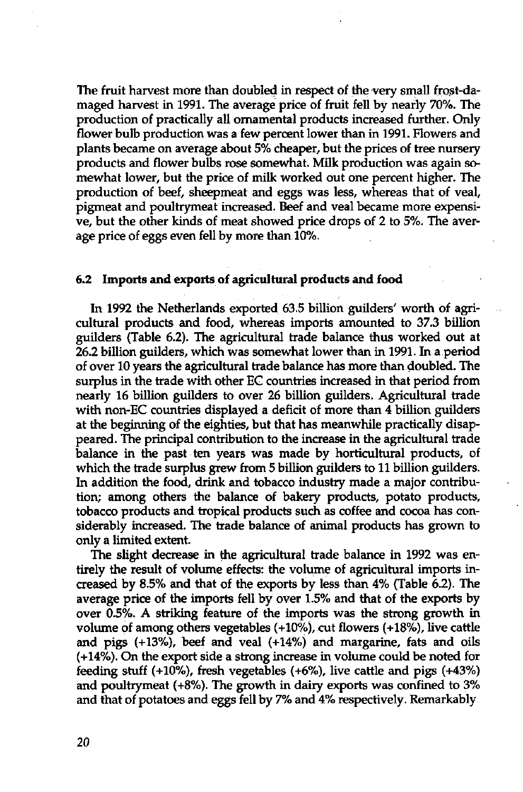The fruit harvest more than doubled in respect of the very small frost-damaged harvest in 1991. The average price of fruit fell by nearly 70%. The production of practically all ornamental products increased further. Only flower bulb production was a few percent lower than in 1991. Flowers and plants became on average about 5% cheaper, but the prices of tree nursery products and flower bulbs rose somewhat. Milk production was again somewhat lower, but the price of milk worked out one percent higher. The production of beef, sheepmeat and eggs was less, whereas that of veal, pigmeat and poultrymeat increased. Beef and veal became more expensive, but the other kinds of meat showed price drops of 2 to 5%. The average price of eggs even fell by more than 10%.

#### **6.2 Imports and exports of agricultural products and food**

In 1992 the Netherlands exported 63.5 billion guilders' worth of agricultural products and food, whereas imports amounted to 37.3 billion guilders (Table 6.2). The agricultural trade balance thus worked out at 26.2 billion guilders, which was somewhat lower than in 1991. In a period of over 10 years the agricultural trade balance has more than doubled. The surplus in the trade with other EG countries increased in that period from nearly 16 billion guilders to over 26 billion guilders. Agricultural trade with non-EC countries displayed a deficit of more than 4 billion guilders at the beginning of the eighties, but that has meanwhile practically disappeared. The principal contribution to the increase in the agricultural trade balance in the past ten years was made by horticultural products, of which the trade surplus grew from 5 billion guilders to 11 billion guilders. In addition the food, drink and tobacco industry made a major contribution; among others the balance of bakery products, potato products, tobacco products and tropical products such as coffee and cocoa has considerably increased. The trade balance of animal products has grown to only a limited extent.

The slight decrease in the agricultural trade balance in 1992 was entirely the result of volume effects: the volume of agricultural imports increased by 8.5% and that of the exports by less than 4% (Table 6.2). The average price of the imports fell by over 1.5% and that of the exports by over 0.5%. A striking feature of the imports was the strong growth in volume of among others vegetables (+10%), cut flowers (+18%), live cattle and pigs (+13%), beef and veal (+14%) and margarine, fats and oils (+14%). On the export side a strong increase in volume could be noted for feeding stuff (+10%), fresh vegetables (+6%), live cattle and pigs (+43%) and poultrymeat (+8%). The growth in dairy exports was confined to 3% and that of potatoes and eggs fell by 7% and 4% respectively. Remarkably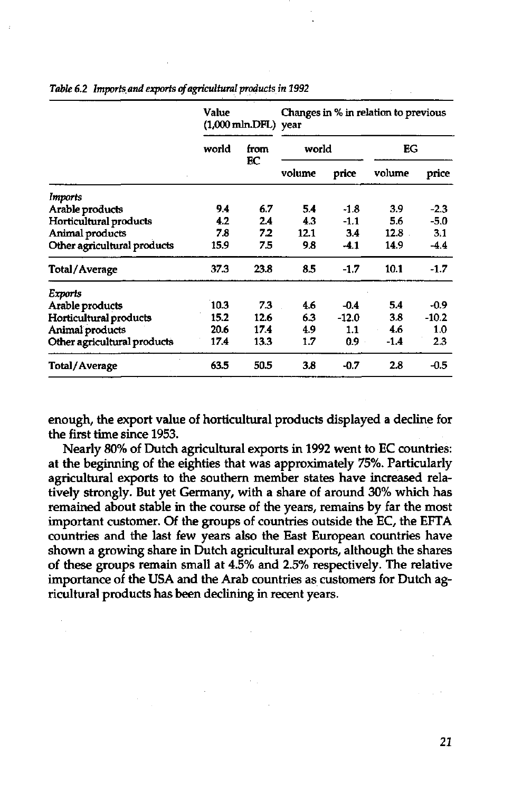|                             | Value<br>(1,000 mln.DFL) year |            |        |         | Changes in % in relation to previous |         |  |
|-----------------------------|-------------------------------|------------|--------|---------|--------------------------------------|---------|--|
|                             | world                         | from<br>ЕC |        | world   |                                      | EG      |  |
|                             |                               |            | volume | price   | volume                               | price   |  |
| Imports                     |                               |            |        |         |                                      |         |  |
| Arable products             | 9.4                           | 6.7        | 5.4    | $-1.8$  | 3.9                                  | $-2.3$  |  |
| Horticultural products      | 4.2                           | 2.4        | 4.3    | $-1.1$  | 5.6                                  | $-5.0$  |  |
| Animal products             | 7.8                           | 7.2        | 12.1   | 3.4     | 12.8                                 | 3:1     |  |
| Other agricultural products | 15.9                          | 7.5        | 9.8    | $-4.1$  | 14.9                                 | $-4.4$  |  |
| Total/Average               | 37.3                          | 23.8       | 8.5    | $-1.7$  | 10.1                                 | $-1.7$  |  |
| Exports                     |                               |            |        |         |                                      |         |  |
| Arable products             | 10.3                          | 7.3        | 4.6    | $-0.4$  | 5.4                                  | $-0.9$  |  |
| Horticultural products      | 15.2                          | 12.6       | 6.3    | $-12.0$ | 3.8                                  | $-10.2$ |  |
| Animal products             | 20.6                          | 17.4       | 4.9    | 1.1     | 4.6                                  | 1.0     |  |
| Other agricultural products | 17.4                          | 13.3       | 1.7    | $0.9 -$ | $-1.4$                               | 2.3     |  |
| Total/Average               | 63.5                          | 50.5       | 3.8    | $-0.7$  | 2.8                                  | $-0.5$  |  |

*Table 6.2 Imports, and exports of agricultural products in 1992* 

enough, the export value of horticultural products displayed a decline for the first time since 1953.

Nearly 80% of Dutch agricultural exports in 1992 went to EC countries: at the beginning of the eighties that was approximately 75%. Particularly agricultural exports to the southern member states have increased relatively strongly. But yet Germany, with a share of around 30% which has remained about stable in the course of the years, remains by far the most important customer. Of the groups of countries outside the EC, the EFTA countries and the last few years also the East European countries have shown a growing share in Dutch agricultural exports, although the shares of these groups remain small at 4.5% and 2.5% respectively. The relative importance of the USA and the Arab countries as customers for Dutch agricultural products has been declining in recent years.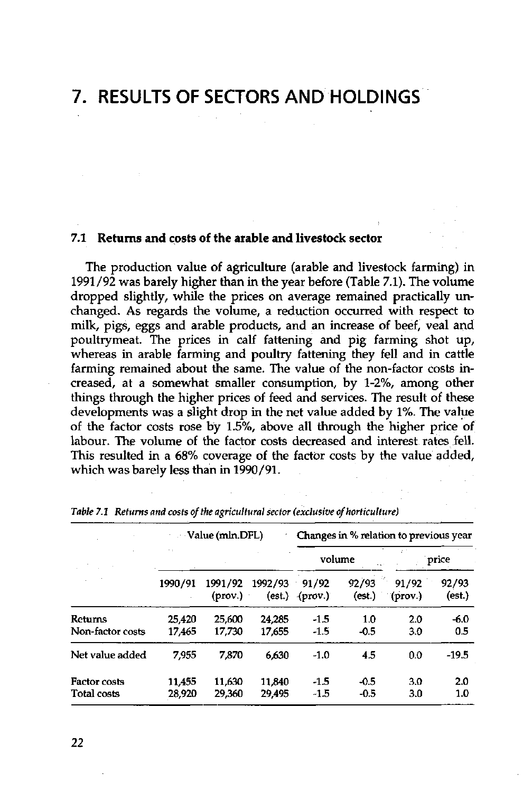### **7. RESULTS OF SECTORS AND HOLDINGS**

### **7.1 Returns and costs of the arable and livestock sector**

The production value of agriculture (arable and livestock farming) in 1991/92 was barely higher than in the year before (Table 7.1). The volume dropped slightly, while the prices on average remained practically unchanged. As regards the volume, a reduction occurred with respect to milk, pigs, eggs and arable products, and an increase of beef, veal and poultrymeat. The prices in calf fattening and pig fanning shot up, whereas in arable farming and poultry fattening they fell and in cattle farming remained about the same. The value of the non-factor costs increased, at a somewhat smaller consumption, by 1-2%, among other things through the higher prices of feed and services. The result of these developments was a slight drop in the net value added by 1%. The value of the factor costs rose by 1.5%, above all through the higher price of labour. The volume of the factor costs decreased and interest rates fell. This resulted in a 68% coverage of the factor costs by the value added, which was barely less than in 1990/91.

|                                    |                  | Value (mln.DFL)    |                   | Changes in % relation to previous year |                  |                  |                 |  |  |
|------------------------------------|------------------|--------------------|-------------------|----------------------------------------|------------------|------------------|-----------------|--|--|
|                                    | $\ddotsc$        |                    |                   | volume                                 |                  | price            |                 |  |  |
|                                    | 1990/91          | 1991/92<br>(prov.) | 1992/93<br>(est.) | 91/92<br>(prov.)                       | 92/93<br>(est.)  | 91/92<br>(prov.) | 92/93<br>(est.) |  |  |
| <b>Returns</b><br>Non-factor costs | 25.420<br>17.465 | 25,600<br>17,730   | 24.285<br>17.655  | -1.5<br>-1.5                           | 1.0<br>$-0.5$    | 2.0<br>3.0       | $-6.0$<br>0.5   |  |  |
| Net value added                    | 7.955            | 7.870              | 6.630             | $-1.0$                                 | 4.5              | 0.0              | $-19.5$         |  |  |
| <b>Factor costs</b><br>Total costs | 11,455<br>28,920 | 11.630<br>29,360   | 11,840<br>29.495  | $-1.5$<br>$-1.5$                       | $-0.5$<br>$-0.5$ | 3.0<br>3.0       | 2.0<br>1.0      |  |  |

*Table 7.1 Returns and costs of the agricultural sector (exclusive of horticulture)*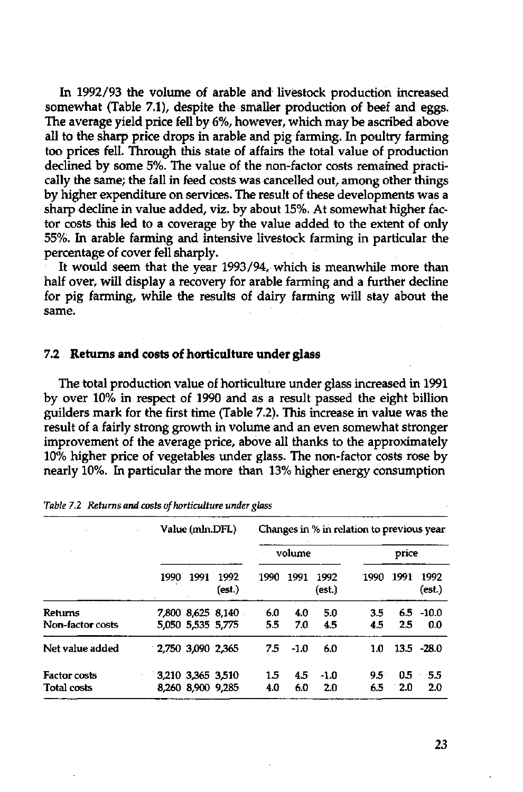In 1992/93 the volume of arable and livestock production increased somewhat (Table 7.1), despite the smaller production of beef and eggs. The average yield price fell by 6%, however, which may be ascribed above all to the sharp price drops in arable and pig farming. In poultry farming too prices fell. Through this state of affairs the total value of production declined by some 5%. The value of the non-factor costs remained practically the same; the fall in feed costs was cancelled out, among other things by higher expenditure on services. The result of these developments was a sharp decline in value added, viz. by about 15%. At somewhat higher factor costs this led to a coverage by the value added to the extent of only 55%. In arable farming and intensive livestock farming in particular the percentage of cover fell sharply.

It would seem that the year 1993/94, which is meanwhile more than half over, will display a recovery for arable farming and a further decline for pig farming, while the results of dairy farming will stay about the same.

#### 7.2 Returns **and** costs of horticulture under glass

The total production value of horticulture under glass increased in 1991 by over 10% in respect of 1990 and as a result passed the eight billion guilders mark for the first time (Table 7.2). This increase in value was the result of a fairly strong growth in volume and an even somewhat stronger improvement of the average price, above all thanks to the approximately 10% higher price of vegetables under glass. The non-factor costs rose by nearly 10%. In particular the more than 13% higher energy consumption

|                             | Value (mln.DFL)                        |      |                | Changes in % in relation to previous year |            |                |                      |            |                     |  |
|-----------------------------|----------------------------------------|------|----------------|-------------------------------------------|------------|----------------|----------------------|------------|---------------------|--|
|                             |                                        |      |                |                                           | volume     |                |                      | price      |                     |  |
|                             | 1990                                   | 1991 | 1992<br>(est.) | 1990                                      | 1991       | 1992<br>(est.) | 1990                 | 1991       | 1992<br>(est.)      |  |
| Returns<br>Non-factor costs | 7,800 8,625 8.140<br>5,050 5,535 5,775 |      |                | 6.0<br>5.5                                | 4.0<br>7.0 | 5.0<br>4.5     | 3.5<br>4.5           | 2.5        | $6.5 - 10.0$<br>0.0 |  |
| Net value added             | 2.750 3.090 2.365                      |      |                | 7.5                                       | $-1.0$     | 6.0            | 1.0                  |            | $13.5 - 28.0$       |  |
| Factor costs<br>Total costs | 3,210 3,365 3,510<br>8,260 8,900 9,285 |      |                | 1.5<br>4.0                                | 4.5<br>6.0 | -1.0<br>2.0    | $9.5^{\circ}$<br>6.5 | 0.5<br>2.0 | 5.5<br>2.0          |  |

*Table 7.2 Returns and costs of horticulture under glass*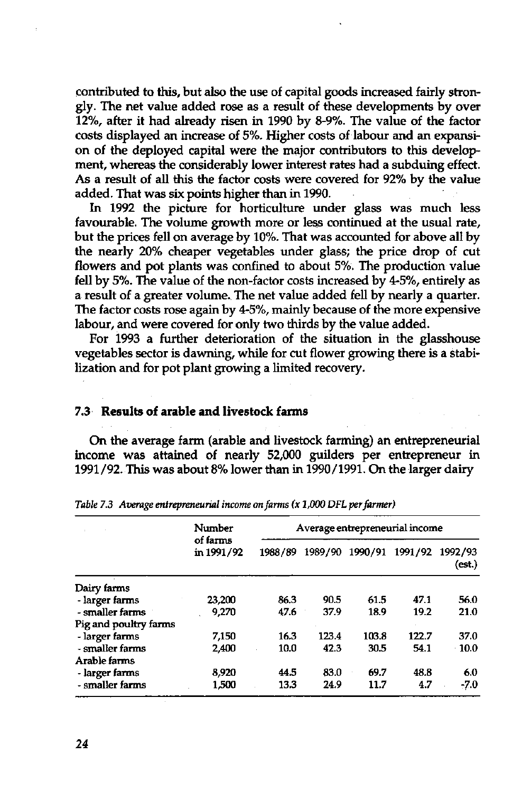contributed to this, but also the use of capital goods increased fairly strongly. The net value added rose as a result of these developments by over 12%, after it had already risen in 1990 by 8-9%. The value of the factor costs displayed an increase of 5%. Higher costs of labour and an expansion of the deployed capital were the major contributors to this development, whereas the considerably lower interest rates had a subduing effect. As a result of all this the factor costs were covered for 92% by the value added. That was six points higher than in 1990.

In 1992 the picture for horticulture under glass was much less favourable. The volume growth more or less continued at the usual rate, but the prices fell on average by 10%. That was accounted for above all by the nearly 20% cheaper vegetables under glass; the price drop of cut flowers and pot plants was confined to about 5%. The production value fell by 5%. The value of the non-factor costs increased by 4-5%, entirely as a result of a greater volume. The net value added fell by nearly a quarter. The factor costs rose again by 4-5%, mainly because of the more expensive labour, and were covered for only two thirds by the value added.

For 1993 a further deterioration of the situation in the glasshouse vegetables sector is dawning, while for cut flower growing there is a stabilization and for pot plant growing a limited recovery.

### **7.3 Results of arable and livestock farms**

On the average farm (arable and livestock farming) an entrepreneurial income was attained of nearly 52,000 guilders per entrepreneur in 1991/92. This was about 8% lower than in 1990/1991. On the larger dairy

|                       | Number<br>of farms<br>in 1991/92 |         | Average entrepreneurial income |         |         |                   |
|-----------------------|----------------------------------|---------|--------------------------------|---------|---------|-------------------|
|                       |                                  | 1988/89 | 1989/90                        | 1990/91 | 1991/92 | 1992/93<br>(est.) |
| Dairy farms           |                                  |         |                                |         |         |                   |
| - larger farms        | 23,200                           | 86.3    | 90.5                           | 61.5    | 47.1    | 56.0              |
| - smaller farms       | 9.270                            | 47.6    | 37.9                           | 18.9    | 19.2    | 21.0              |
| Pig and poultry farms |                                  |         |                                |         |         |                   |
| - larger farms        | 7,150                            | 16.3    | 123.4                          | 103.8   | 122.7   | 37.0              |
| - smaller farms       | 2.400                            | 10.0    | 42.3                           | 30.5    | 54.1    | $-10.0$           |
| Arable farms          |                                  |         |                                |         |         |                   |
| - larger farms        | 8.920                            | 44.5    | 83.0                           | 69.7    | 48.8    | 6.0               |
| - smaller farms       | 1,500                            | 13.3    | 24.9                           | 11.7    | 4.7     | -7.0              |

*Table 7.3 Average entrepreneurial income on farms (x 1,000 DFL per farmer)*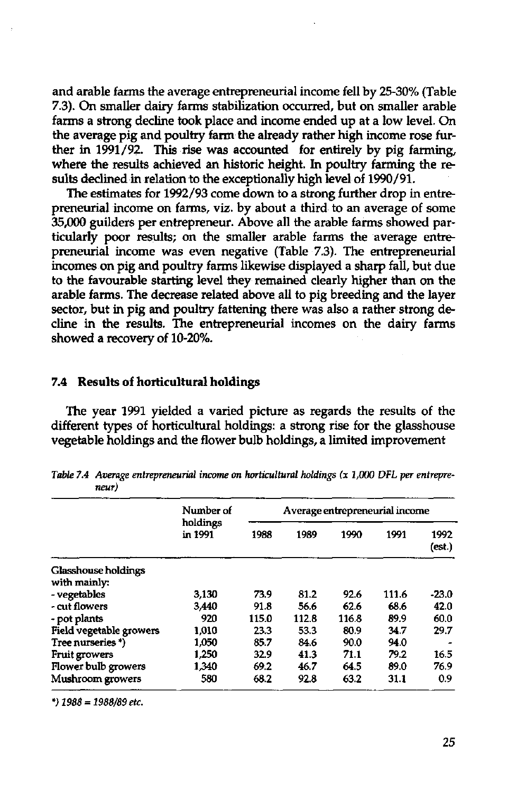and arable farms the average entrepreneurial income fell by 25-30% (Table 7.3). On smaller dairy farms stabilization occurred, but on smaller arable farms a strong decline took place and income ended up at a low level. On the average pig and poultry farm the already rather high income rose further in 1991/92. This rise was accounted for entirely by pig farming, where the results achieved an historic height. In poultry farming the results declined in relation to the exceptionally high level of 1990/91.

The estimates for 1992/93 come down to a strong further drop in entrepreneurial income on farms, viz. by about a third to an average of some 35,000 guilders per entrepreneur. Above all the arable farms showed particularly poor results; on the smaller arable farms the average entrepreneurial income was even negative (Table 7.3). The entrepreneurial incomes on pig and poultry farms likewise displayed a sharp fall, but due to the favourable starting level they remained clearly higher than on the arable farms. The decrease related above all to pig breeding and the layer sector, but in pig and poultry fattening there was also a rather strong decline in the results. The entrepreneurial incomes on the dairy farms showed a recovery of 10-20%.

### **7.4 Results of horticultural holdings**

The year 1991 yielded a varied picture as regards the results of the different types of horticultural holdings: a strong rise for the glasshouse vegetable holdings and the flower bulb holdings, a limited improvement

|                            | Number of<br>holdings<br>in 1991 | Average entrepreneurial income |       |       |       |                |
|----------------------------|----------------------------------|--------------------------------|-------|-------|-------|----------------|
|                            |                                  | 1988                           | 1989  | 1990  | 1991  | 1992<br>(est.) |
| <b>Glasshouse holdings</b> |                                  |                                |       |       |       |                |
| with mainly:               |                                  |                                |       |       |       |                |
| - vegetables               | 3.130                            | 73.9                           | 81.2  | 92.6  | 111.6 | $-23.0$        |
| - cut flowers              | 3,440                            | 91.8                           | 56.6  | 62.6  | 68.6  | 42.0           |
| - pot plants               | 920                              | 115.0                          | 112.8 | 116.8 | 89.9  | 60.0           |
| Field vegetable growers    | 1,010                            | 23.3                           | 53.3  | 80.9  | 34.7  | 29.7           |
| Tree nurseries *)          | 1.050                            | 85.7                           | 84.6  | 90.0  | 94.0  |                |
| Fruit growers              | 1.250                            | 32.9                           | 41.3  | 71.1  | 79.2  | 16.5           |
| Flower bulb growers        | 1.340                            | 69.2                           | 46.7  | 64.5  | 89.0  | 76.9           |
| Mushroom growers           | 580                              | 68.2                           | 92.8  | 63.2  | 31.1  | 0.9            |

*Table 7.4 Average entrepreneurial income on horticultural holdings (x 1,000 DFL per entrepreneur)* 

*\*) 1988 = 1988/89 etc.*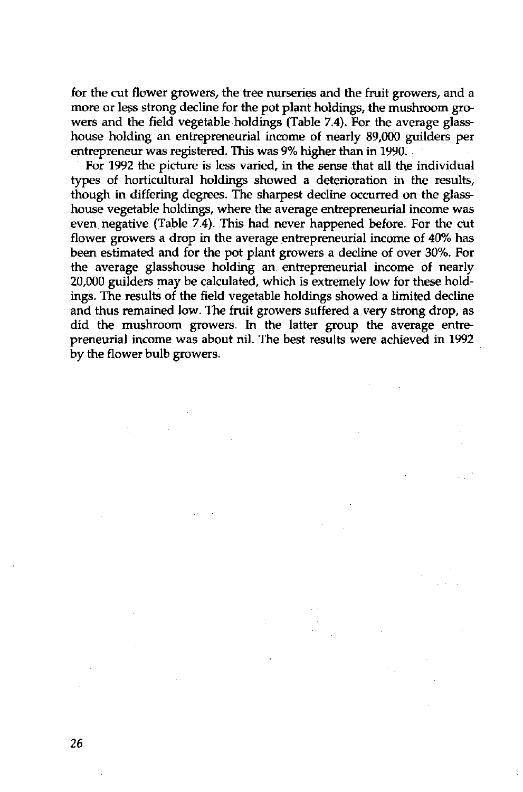for the cut flower growers, the tree nurseries and the fruit growers, and a more or less strong decline for the pot plant holdings, the mushroom growers and the field vegetable holdings (Table 7.4). For the average glasshouse holding an entrepreneurial income of nearly 89,000 guilders per entrepreneur was registered. This was 9% higher than in 1990.

For 1992 the picture is less varied, in the sense that all the individual types of horticultural holdings showed a deterioration in the results, though in differing degrees. The sharpest decline occurred on the glasshouse vegetable holdings, where the average entrepreneurial income was even negative (Table 7.4). This had never happened before. For the cut flower growers a drop in the average entrepreneurial income of 40% has been estimated and for the pot plant growers a decline of over 30%. For the average glasshouse holding an entrepreneurial income of nearly 20,000 guilders may be calculated, which is extremely low for these holdings. The results of the field vegetable holdings showed a limited decline and thus remained low. The fruit growers suffered a very strong drop, as did the mushroom growers. In the latter group the average entrepreneurial income was about nil. The best results were achieved in 1992 by the flower bulb growers.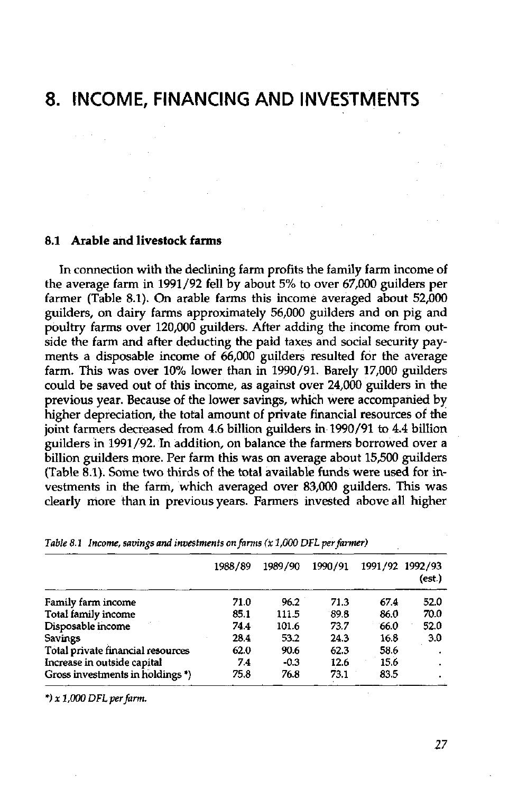# **8. INCOME, FINANCING AND INVESTMENTS**

#### **8.1 Arable and livestock farms**

 $\lambda$  ,  $\lambda$  ,  $\lambda$  ,  $\lambda$  ,  $\lambda$  ,  $\lambda$ 

In connection with the declining farm profits the family farm income of the average farm in 1991/92 fell by about 5% to over 67,000 guilders per farmer (Table 8.1). On arable farms this income averaged about 52,000 guilders, on dairy farms approximately 56,000 guilders and on pig and poultry farms over 120,000 guilders. After adding the income from outside the farm and after deducting the paid taxes and social security payments a disposable income of 66,000 guilders resulted for the average farm. This was over 10% lower than in 1990/91. Barely 17,000 guilders could be saved out of this income, as against over 24,000 guilders in the previous year. Because of the lower savings, which were accompanied by higher depreciation, the total amount of private financial resources of the joint farmers decreased from 4.6 billion guilders in 1990/91 to 4.4 billion guilders in 1991/92. In addition, on balance the farmers borrowed over a billion guilders more. Per farm this was on average about 15,500 guilders (Table 8.1). Some two thirds of the total available funds were used for investments in the farm, which averaged over 83,000 guilders. This was clearly more than in previous years. Farmers invested above all higher

|                                   | 1988/89 | 1989/90 | 1990/91 | 1991/92 1992/93 | (est.) |
|-----------------------------------|---------|---------|---------|-----------------|--------|
| Family farm income                | 71.0    | 96.2    | 71.3    | 67.4            | 52.0   |
| Total family income               | 85.1    | 111.5   | 89.8    | 86.0            | 70.0   |
| Disposable income                 | 74.4    | 101.6   | 73.7    | 66.0            | 52.0   |
| Savings                           | 28.4    | 53.2    | 24.3    | 16.8            | 3.0    |
| Total private financial resources | 62.0    | 90.6    | 62.3    | 58.6            |        |
| Increase in outside capital       | 7.4     | $-0.3$  | 12.6    | 15.6            |        |
| Gross investments in holdings *)  | 75.8    | 76.8    | 73.1    | 83.5            | ٠      |

*Table 8.1 Income, savings and investments on farms (X 1,000 DFL per farmer)* 

*\*)x 1,000 DFL per farm.* 

*27*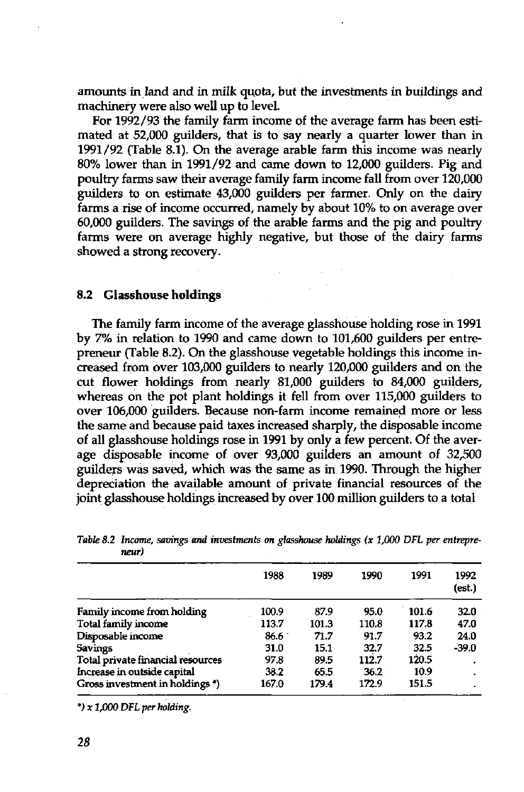amounts in land and in milk quota, but the investments in buildings and machinery were also well up to level.

For 1992/93 the family farm income of the average farm has been estimated at 52,000 guilders, that is to say nearly a quarter lower than in 1991/92 (Table 8.1). On the average arable farm this income was nearly 80% lower than in 1991/92 and came down to 12,000 guilders. Pig and poultry farms saw their average family farm income fall from over 120,000 guilders to on estimate 43,000 guilders per farmer. Only on the dairy farms a rise of income occurred, namely by about 10% to on average over 60,000 guilders. The savings of the arable farms and the pig and poultry farms were on average highly negative, but those of the dairy farms showed a strong recovery.

#### **8.2 Glasshouse holdings**

The family farm income of the average glasshouse holding rose in 1991 by 7% in relation to 1990 and came down to 101,600 guilders per entrepreneur (Table 8.2). On the glasshouse vegetable holdings this income increased from over 103,000 guilders to nearly 120,000 guilders and on the cut flower holdings from nearly 81,000 guilders to 84,000 guilders, whereas on the pot plant holdings it fell from over 115,000 guilders to over 106,000 guilders. Because non-farm income remained more or less the same and because paid taxes increased sharply, the disposable income of all glasshouse holdings rose in 1991 by only a few percent. Of the average disposable income of over 93,000 guilders an amount of 32,500 guilders was saved, which was the same as in 1990. Through the higher depreciation the available amount of private financial resources of the joint glasshouse holdings increased by over 100 million guilders to a total

| .                                 |       |       |          |       |                |
|-----------------------------------|-------|-------|----------|-------|----------------|
|                                   | 1983  | 1939  | 1990     | 1991  | 1992<br>(est.) |
| Family income from holding        | 100.9 | 87.9  | 95.0     | 101.6 | 32.0           |
| Total family income               | 113.7 | 101.3 | 110.8    | 117.8 | 47.0           |
| Disposable income                 | 86.6  | 71.7  | 91.7     | 93.2  | 24.0           |
| Savings                           | 31.0  | 15.1  | 32.7     | 32.5  | $-39.0$        |
| Total private financial resources | 97.8  | 89.5  | 112.7    | 120.5 |                |
| Increase in outside capital       | 38.2  | 65.5  | $36.2 -$ | 10.9  |                |
| Gross investment in holdings*)    | 167.0 | 179.4 | 172.9    | 151.5 |                |

*Table 8.2 Income, savings and investments on glasshouse holdings (x 1,000 DFL per entrepreneur)* 

*\*) x 1,000 DFL per holding.*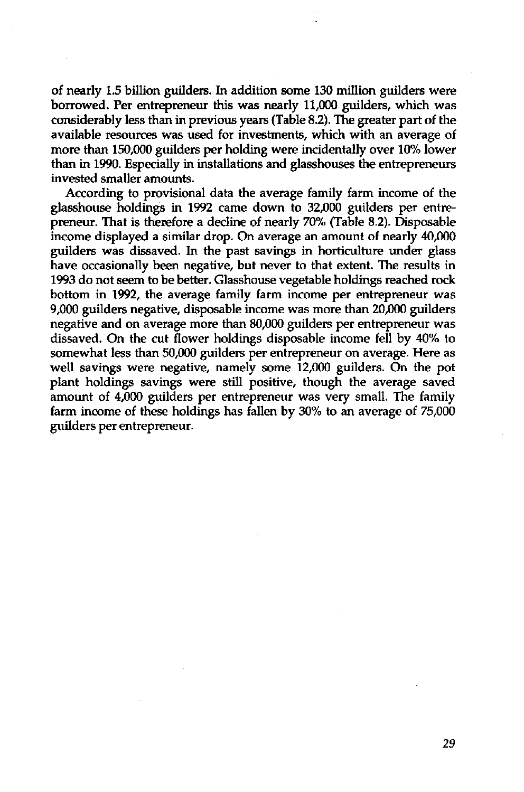of nearly 1.5 billion guilders. In addition some 130 million guilders were borrowed. Per entrepreneur this was nearly 11,000 guilders, which was considerably less than in previous years (Table 8.2). The greater part of the available resources was used for investments, which with an average of more than 150,000 guilders per holding were incidentally over 10% lower than in 1990. Especially in installations and glasshouses the entrepreneurs invested smaller amounts.

According to provisional data the average family farm income of the glasshouse holdings in 1992 came down to 32,000 guilders per entrepreneur. That is therefore a decline of nearly 70% (Table 8.2). Disposable income displayed a similar drop. On average an amount of nearly 40,000 guilders was dissaved. In the past savings in horticulture under glass have occasionally been negative, but never to that extent. The results in 1993 do not seem to be better. Glasshouse vegetable holdings reached rock bottom in 1992, the average family farm income per entrepreneur was 9,000 guilders negative, disposable income was more than 20,000 guilders negative and on average more than 80,000 guilders per entrepreneur was dissaved. On the cut flower holdings disposable income fell by 40% to somewhat less than 50,000 guilders per entrepreneur on average. Here as well savings were negative, namely some 12,000 guilders. On the pot plant holdings savings were still positive, though the average saved amount of 4,000 guilders per entrepreneur was very small. The family farm income of these holdings has fallen by 30% to an average of 75,000 guilders per entrepreneur.